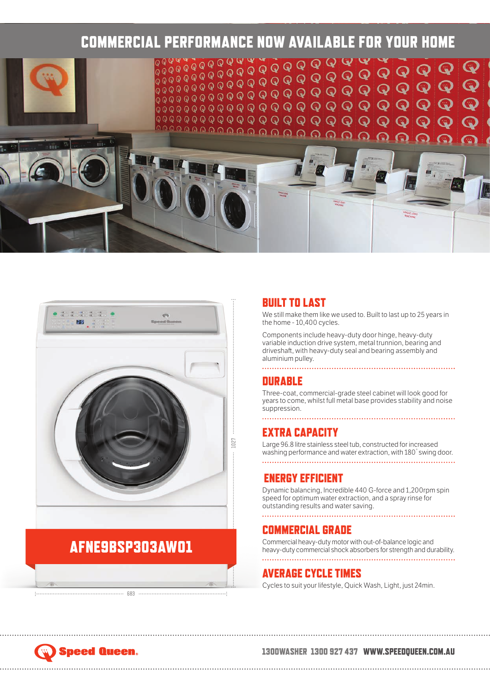



## AFNE9BSP303AWO1

683

#### **BUILT TO LAST**

We still make them like we used to. Built to last up to 25 years in the home - 10,400 cycles.

Components include heavy-duty door hinge, heavy-duty variable induction drive system, metal trunnion, bearing and driveshaft, with heavy-duty seal and bearing assembly and aluminium pulley.

### **DURABLE**

Three-coat, commercial-grade steel cabinet will look good for years to come, whilst full metal base provides stability and noise suppression.

#### EXTRA CAPACITY

Large 96.8 litre stainless steel tub, constructed for increased washing performance and water extraction, with 180° swing door. 

#### ENERGY EFFICIENT

Dynamic balancing, Incredible 440 G-force and 1,200rpm spin speed for optimum water extraction, and a spray rinse for outstanding results and water saving.

#### COMMERCIAL GRADE

Commercial heavy-duty motor with out-of-balance logic and heavy-duty commercial shock absorbers for strength and durability. 

#### AVERAGE CYCLE TIMES

Cycles to suit your lifestyle, Quick Wash, Light, just 24min.

# Speed Queen.

#### 1300WASHER 1300 927 437 WWW.SPEEDQUEEN.COM.AU